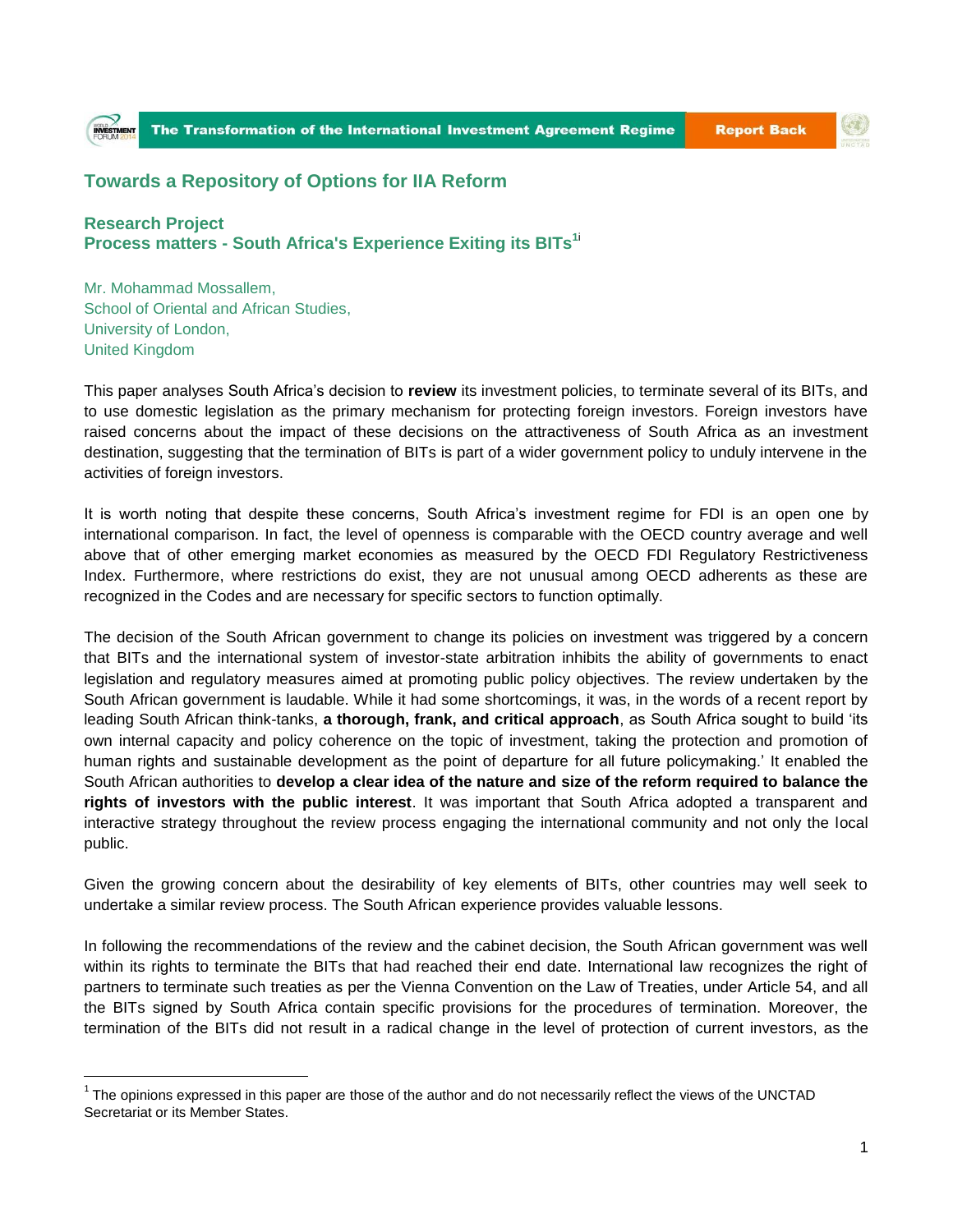## (す)

## **Towards a Repository of Options for IIA Reform**

**Research Project Process matters - South Africa's Experience Exiting its BITs<sup>1</sup>**<sup>i</sup>

Mr. Mohammad Mossallem, School of Oriental and African Studies, University of London, United Kingdom

 $\overline{a}$ 

This paper analyses South Africa's decision to **review** its investment policies, to terminate several of its BITs, and to use domestic legislation as the primary mechanism for protecting foreign investors. Foreign investors have raised concerns about the impact of these decisions on the attractiveness of South Africa as an investment destination, suggesting that the termination of BITs is part of a wider government policy to unduly intervene in the activities of foreign investors.

It is worth noting that despite these concerns, South Africa's investment regime for FDI is an open one by international comparison. In fact, the level of openness is comparable with the OECD country average and well above that of other emerging market economies as measured by the OECD FDI Regulatory Restrictiveness Index. Furthermore, where restrictions do exist, they are not unusual among OECD adherents as these are recognized in the Codes and are necessary for specific sectors to function optimally.

The decision of the South African government to change its policies on investment was triggered by a concern that BITs and the international system of investor-state arbitration inhibits the ability of governments to enact legislation and regulatory measures aimed at promoting public policy objectives. The review undertaken by the South African government is laudable. While it had some shortcomings, it was, in the words of a recent report by leading South African think-tanks, **a thorough, frank, and critical approach**, as South Africa sought to build 'its own internal capacity and policy coherence on the topic of investment, taking the protection and promotion of human rights and sustainable development as the point of departure for all future policymaking.' It enabled the South African authorities to **develop a clear idea of the nature and size of the reform required to balance the rights of investors with the public interest**. It was important that South Africa adopted a transparent and interactive strategy throughout the review process engaging the international community and not only the local public.

Given the growing concern about the desirability of key elements of BITs, other countries may well seek to undertake a similar review process. The South African experience provides valuable lessons.

In following the recommendations of the review and the cabinet decision, the South African government was well within its rights to terminate the BITs that had reached their end date. International law recognizes the right of partners to terminate such treaties as per the Vienna Convention on the Law of Treaties, under Article 54, and all the BITs signed by South Africa contain specific provisions for the procedures of termination. Moreover, the termination of the BITs did not result in a radical change in the level of protection of current investors, as the

 $1$  The opinions expressed in this paper are those of the author and do not necessarily reflect the views of the UNCTAD Secretariat or its Member States.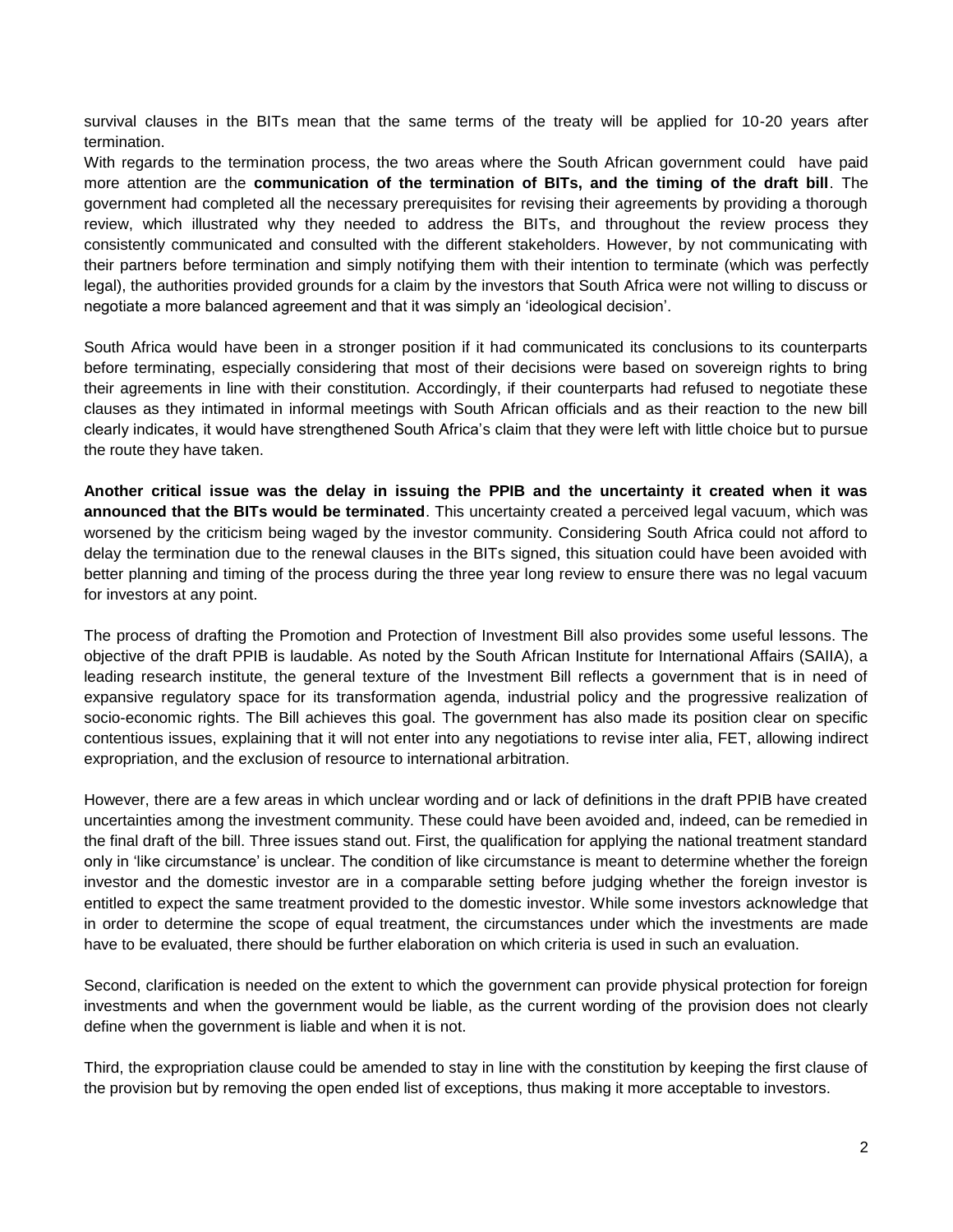survival clauses in the BITs mean that the same terms of the treaty will be applied for 10-20 years after termination.

With regards to the termination process, the two areas where the South African government could have paid more attention are the **communication of the termination of BITs, and the timing of the draft bill**. The government had completed all the necessary prerequisites for revising their agreements by providing a thorough review, which illustrated why they needed to address the BITs, and throughout the review process they consistently communicated and consulted with the different stakeholders. However, by not communicating with their partners before termination and simply notifying them with their intention to terminate (which was perfectly legal), the authorities provided grounds for a claim by the investors that South Africa were not willing to discuss or negotiate a more balanced agreement and that it was simply an 'ideological decision'.

South Africa would have been in a stronger position if it had communicated its conclusions to its counterparts before terminating, especially considering that most of their decisions were based on sovereign rights to bring their agreements in line with their constitution. Accordingly, if their counterparts had refused to negotiate these clauses as they intimated in informal meetings with South African officials and as their reaction to the new bill clearly indicates, it would have strengthened South Africa's claim that they were left with little choice but to pursue the route they have taken.

**Another critical issue was the delay in issuing the PPIB and the uncertainty it created when it was announced that the BITs would be terminated**. This uncertainty created a perceived legal vacuum, which was worsened by the criticism being waged by the investor community. Considering South Africa could not afford to delay the termination due to the renewal clauses in the BITs signed, this situation could have been avoided with better planning and timing of the process during the three year long review to ensure there was no legal vacuum for investors at any point.

The process of drafting the Promotion and Protection of Investment Bill also provides some useful lessons. The objective of the draft PPIB is laudable. As noted by the South African Institute for International Affairs (SAIIA), a leading research institute, the general texture of the Investment Bill reflects a government that is in need of expansive regulatory space for its transformation agenda, industrial policy and the progressive realization of socio-economic rights. The Bill achieves this goal. The government has also made its position clear on specific contentious issues, explaining that it will not enter into any negotiations to revise inter alia, FET, allowing indirect expropriation, and the exclusion of resource to international arbitration.

However, there are a few areas in which unclear wording and or lack of definitions in the draft PPIB have created uncertainties among the investment community. These could have been avoided and, indeed, can be remedied in the final draft of the bill. Three issues stand out. First, the qualification for applying the national treatment standard only in 'like circumstance' is unclear. The condition of like circumstance is meant to determine whether the foreign investor and the domestic investor are in a comparable setting before judging whether the foreign investor is entitled to expect the same treatment provided to the domestic investor. While some investors acknowledge that in order to determine the scope of equal treatment, the circumstances under which the investments are made have to be evaluated, there should be further elaboration on which criteria is used in such an evaluation.

Second, clarification is needed on the extent to which the government can provide physical protection for foreign investments and when the government would be liable, as the current wording of the provision does not clearly define when the government is liable and when it is not.

Third, the expropriation clause could be amended to stay in line with the constitution by keeping the first clause of the provision but by removing the open ended list of exceptions, thus making it more acceptable to investors.